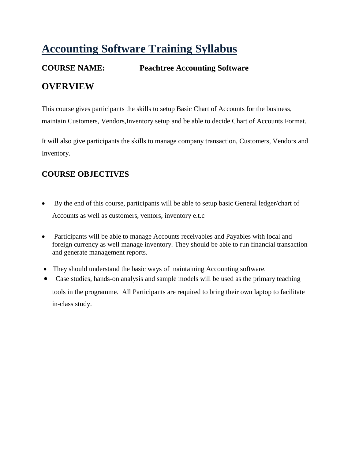# **Accounting Software Training Syllabus**

## **COURSE NAME: Peachtree Accounting Software OVERVIEW**

This course gives participants the skills to setup Basic Chart of Accounts for the business, maintain Customers, Vendors,Inventory setup and be able to decide Chart of Accounts Format.

It will also give participants the skills to manage company transaction, Customers, Vendors and Inventory.

## **COURSE OBJECTIVES**

- By the end of this course, participants will be able to setup basic General ledger/chart of Accounts as well as customers, ventors, inventory e.t.c
- Participants will be able to manage Accounts receivables and Payables with local and foreign currency as well manage inventory. They should be able to run financial transaction and generate management reports.
- They should understand the basic ways of maintaining Accounting software.
- Case studies, hands-on analysis and sample models will be used as the primary teaching tools in the programme. All Participants are required to bring their own laptop to facilitate in-class study.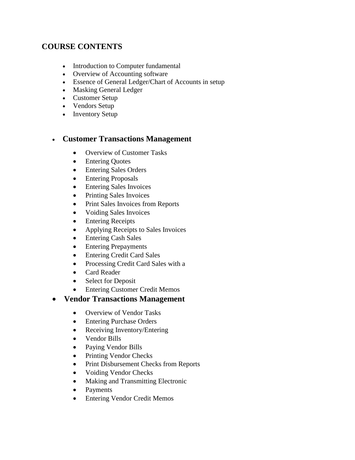### **COURSE CONTENTS**

- Introduction to Computer fundamental
- Overview of Accounting software
- Essence of General Ledger/Chart of Accounts in setup
- Masking General Ledger
- Customer Setup
- Vendors Setup
- Inventory Setup

#### **Customer Transactions Management**

- Overview of Customer Tasks
- Entering Quotes
- Entering Sales Orders
- Entering Proposals
- Entering Sales Invoices
- Printing Sales Invoices
- Print Sales Invoices from Reports
- Voiding Sales Invoices
- Entering Receipts
- Applying Receipts to Sales Invoices
- Entering Cash Sales
- Entering Prepayments
- Entering Credit Card Sales
- Processing Credit Card Sales with a
- Card Reader
- Select for Deposit
- Entering Customer Credit Memos

#### **Vendor Transactions Management**

- Overview of Vendor Tasks
- Entering Purchase Orders
- Receiving Inventory/Entering
- Vendor Bills
- Paying Vendor Bills
- Printing Vendor Checks
- Print Disbursement Checks from Reports
- Voiding Vendor Checks
- Making and Transmitting Electronic
- Payments
- Entering Vendor Credit Memos